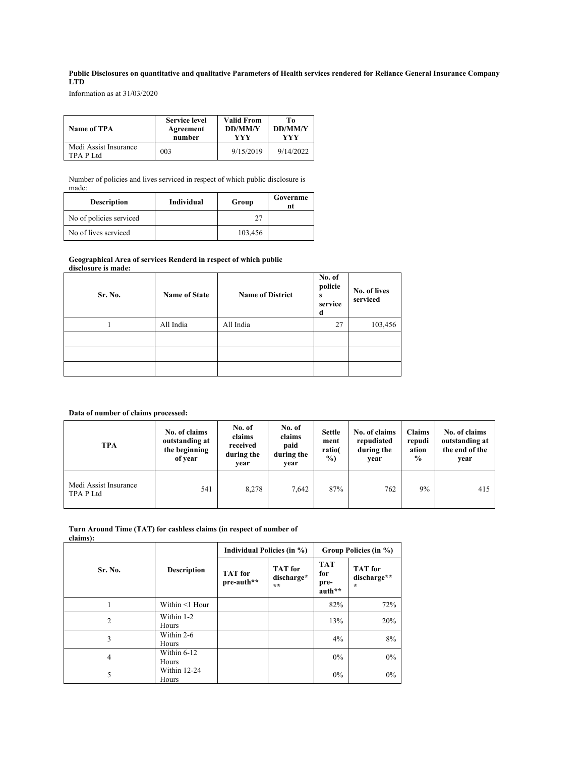# **Public Disclosures on quantitative and qualitative Parameters of Health services rendered for Reliance General Insurance Company LTD**

Information as at 31/03/2020

| <b>Name of TPA</b>                 | <b>Service level</b> | <b>Valid From</b> | To             |
|------------------------------------|----------------------|-------------------|----------------|
|                                    | Agreement            | <b>DD/MM/Y</b>    | <b>DD/MM/Y</b> |
|                                    | number               | YYY               | YYY            |
| Medi Assist Insurance<br>TPA P Ltd | 003                  | 9/15/2019         | 9/14/2022      |

Number of policies and lives serviced in respect of which public disclosure is made:

| <b>Description</b>      | Individual | Group   | Governme<br>nt |
|-------------------------|------------|---------|----------------|
| No of policies serviced |            |         |                |
| No of lives serviced    |            | 103,456 |                |

#### **Geographical Area of services Renderd in respect of which public disclosure is made:**

| Sr. No. | <b>Name of State</b> | <b>Name of District</b> | No. of<br>policie<br>s<br>service<br>d | No. of lives<br>serviced |
|---------|----------------------|-------------------------|----------------------------------------|--------------------------|
|         | All India            | All India               | 27                                     | 103,456                  |
|         |                      |                         |                                        |                          |
|         |                      |                         |                                        |                          |
|         |                      |                         |                                        |                          |

## **Data of number of claims processed:**

| <b>TPA</b>                         | No. of claims<br>outstanding at<br>the beginning<br>of year | No. of<br>claims<br>received<br>during the<br>vear | No. of<br>claims<br>paid<br>during the<br>vear | <b>Settle</b><br>ment<br>ratio(<br>$\frac{9}{0}$ | No. of claims<br>repudiated<br>during the<br>year | <b>Claims</b><br>repudi<br>ation<br>$\frac{6}{9}$ | No. of claims<br>outstanding at<br>the end of the<br>year |
|------------------------------------|-------------------------------------------------------------|----------------------------------------------------|------------------------------------------------|--------------------------------------------------|---------------------------------------------------|---------------------------------------------------|-----------------------------------------------------------|
| Medi Assist Insurance<br>TPA P Ltd | 541                                                         | 8,278                                              | 7.642                                          | 87%                                              | 762                                               | 9%                                                | 415                                                       |

#### **Turn Around Time (TAT) for cashless claims (in respect of number of claims):**

|  |         |                       | Individual Policies (in %)   |                                       | Group Policies (in %)               |                                          |  |
|--|---------|-----------------------|------------------------------|---------------------------------------|-------------------------------------|------------------------------------------|--|
|  | Sr. No. | <b>Description</b>    | <b>TAT</b> for<br>pre-auth** | <b>TAT</b> for<br>discharge*<br>$***$ | <b>TAT</b><br>for<br>pre-<br>auth** | <b>TAT</b> for<br>discharge**<br>$\star$ |  |
|  |         | Within <1 Hour        |                              |                                       | 82%                                 | 72%                                      |  |
|  | 2       | Within 1-2<br>Hours   |                              |                                       | 13%                                 | 20%                                      |  |
|  | 3       | Within 2-6<br>Hours   |                              |                                       | 4%                                  | 8%                                       |  |
|  | 4       | Within 6-12<br>Hours  |                              |                                       | 0%                                  | $0\%$                                    |  |
|  | 5       | Within 12-24<br>Hours |                              |                                       | 0%                                  | $0\%$                                    |  |